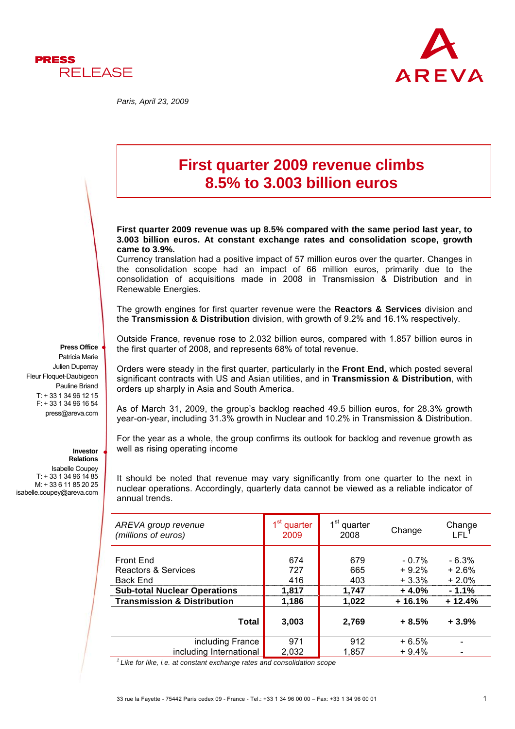

*Paris, April 23, 2009* 



# **First quarter 2009 revenue climbs 8.5% to 3.003 billion euros**

**First quarter 2009 revenue was up 8.5% compared with the same period last year, to 3.003 billion euros. At constant exchange rates and consolidation scope, growth came to 3.9%.** 

Currency translation had a positive impact of 57 million euros over the quarter. Changes in the consolidation scope had an impact of 66 million euros, primarily due to the consolidation of acquisitions made in 2008 in Transmission & Distribution and in Renewable Energies.

The growth engines for first quarter revenue were the **Reactors & Services** division and the **Transmission & Distribution** division, with growth of 9.2% and 16.1% respectively.

Outside France, revenue rose to 2.032 billion euros, compared with 1.857 billion euros in the first quarter of 2008, and represents 68% of total revenue.

Orders were steady in the first quarter, particularly in the **Front End**, which posted several significant contracts with US and Asian utilities, and in **Transmission & Distribution**, with orders up sharply in Asia and South America.

As of March 31, 2009, the group's backlog reached 49.5 billion euros, for 28.3% growth year-on-year, including 31.3% growth in Nuclear and 10.2% in Transmission & Distribution.

For the year as a whole, the group confirms its outlook for backlog and revenue growth as well as rising operating income

It should be noted that revenue may vary significantly from one quarter to the next in nuclear operations. Accordingly, quarterly data cannot be viewed as a reliable indicator of annual trends.

| AREVA group revenue<br>(millions of euros)          | 1 <sup>st</sup><br>quarter<br>2009 | 1 <sup>st</sup> quarter<br>2008 | Change                         | Change<br>LEL 1               |
|-----------------------------------------------------|------------------------------------|---------------------------------|--------------------------------|-------------------------------|
| Front End<br>Reactors & Services<br><b>Back End</b> | 674<br>727<br>416                  | 679<br>665<br>403               | $-0.7\%$<br>$+9.2%$<br>$+3.3%$ | $-6.3%$<br>$+2.6%$<br>$+2.0%$ |
| <b>Sub-total Nuclear Operations</b>                 | 1,817                              | 1,747                           | $+4.0%$                        | $-1.1%$                       |
| <b>Transmission &amp; Distribution</b>              | 1,186                              | 1,022                           | $+16.1%$                       | $+12.4%$                      |
| <b>Total</b>                                        | 3,003                              | 2,769                           | $+8.5%$                        | $+3.9%$                       |
| including France                                    | 971                                | 912                             | $+6.5%$                        |                               |
| including International                             | 2,032                              | 1.857                           | $+9.4%$                        |                               |

*1 Like for like, i.e. at constant exchange rates and consolidation scope* 

**Press Office** Patricia Marie Julien Duperray Fleur Floquet-Daubigeon Pauline Briand T: + 33 1 34 96 12 15 F: + 33 1 34 96 16 54 press@areva.com

#### **Investor Relations**

Isabelle Coupey T: + 33 1 34 96 14 85 M: + 33 6 11 85 20 25 isabelle.coupey@areva.com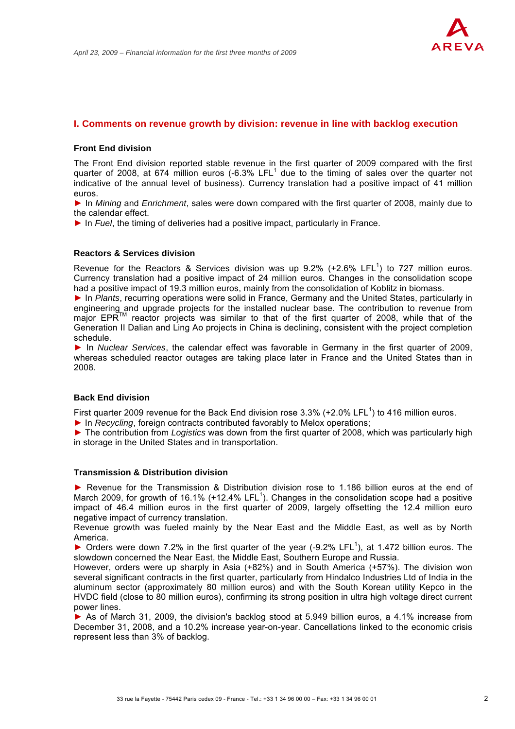

#### **I. Comments on revenue growth by division: revenue in line with backlog execution**

#### **Front End division**

The Front End division reported stable revenue in the first quarter of 2009 compared with the first quarter of 2008, at 674 million euros (-6.3% LFL $<sup>1</sup>$  due to the timing of sales over the quarter not</sup> indicative of the annual level of business). Currency translation had a positive impact of 41 million euros.

► In *Mining* and *Enrichment*, sales were down compared with the first quarter of 2008, mainly due to the calendar effect.

► In *Fuel*, the timing of deliveries had a positive impact, particularly in France.

#### **Reactors & Services division**

Revenue for the Reactors & Services division was up 9.2% (+2.6% LFL<sup>1</sup>) to 727 million euros. Currency translation had a positive impact of 24 million euros. Changes in the consolidation scope had a positive impact of 19.3 million euros, mainly from the consolidation of Koblitz in biomass.

► In *Plants*, recurring operations were solid in France, Germany and the United States, particularly in engineering and upgrade projects for the installed nuclear base. The contribution to revenue from maior EPR™ reactor projects was similar to that of the first quarter of 2008, while that of the Generation II Dalian and Ling Ao projects in China is declining, consistent with the project completion schedule.

► In *Nuclear Services*, the calendar effect was favorable in Germany in the first quarter of 2009, whereas scheduled reactor outages are taking place later in France and the United States than in 2008.

# **Back End division**

First quarter 2009 revenue for the Back End division rose 3.3% (+2.0% LFL<sup>1</sup>) to 416 million euros.

► In *Recycling*, foreign contracts contributed favorably to Melox operations;

► The contribution from *Logistics* was down from the first quarter of 2008, which was particularly high in storage in the United States and in transportation.

#### **Transmission & Distribution division**

► Revenue for the Transmission & Distribution division rose to 1.186 billion euros at the end of March 2009, for growth of 16.1% (+12.4% LFL<sup>1</sup>). Changes in the consolidation scope had a positive impact of 46.4 million euros in the first quarter of 2009, largely offsetting the 12.4 million euro negative impact of currency translation.

Revenue growth was fueled mainly by the Near East and the Middle East, as well as by North America.

 $\triangleright$  Orders were down 7.2% in the first quarter of the year (-9.2% LFL<sup>1</sup>), at 1.472 billion euros. The slowdown concerned the Near East, the Middle East, Southern Europe and Russia.

However, orders were up sharply in Asia (+82%) and in South America (+57%). The division won several significant contracts in the first quarter, particularly from Hindalco Industries Ltd of India in the aluminum sector (approximately 80 million euros) and with the South Korean utility Kepco in the HVDC field (close to 80 million euros), confirming its strong position in ultra high voltage direct current power lines.

► As of March 31, 2009, the division's backlog stood at 5.949 billion euros, a 4.1% increase from December 31, 2008, and a 10.2% increase year-on-year. Cancellations linked to the economic crisis represent less than 3% of backlog.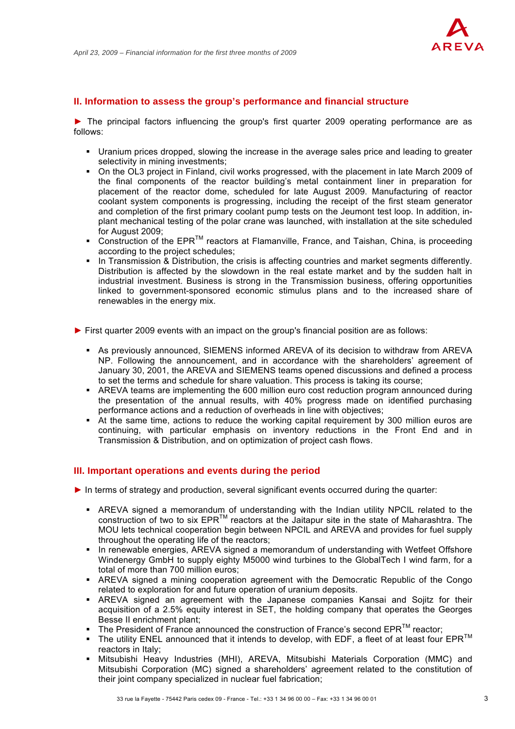

## **II. Information to assess the group's performance and financial structure**

► The principal factors influencing the group's first quarter 2009 operating performance are as follows:

- Uranium prices dropped, slowing the increase in the average sales price and leading to greater selectivity in mining investments;
- On the OL3 project in Finland, civil works progressed, with the placement in late March 2009 of the final components of the reactor building's metal containment liner in preparation for placement of the reactor dome, scheduled for late August 2009. Manufacturing of reactor coolant system components is progressing, including the receipt of the first steam generator and completion of the first primary coolant pump tests on the Jeumont test loop. In addition, inplant mechanical testing of the polar crane was launched, with installation at the site scheduled for August 2009;
- Construction of the  $EPR^{TM}$  reactors at Flamanville, France, and Taishan, China, is proceeding according to the project schedules;
- In Transmission & Distribution, the crisis is affecting countries and market segments differently. Distribution is affected by the slowdown in the real estate market and by the sudden halt in industrial investment. Business is strong in the Transmission business, offering opportunities linked to government-sponsored economic stimulus plans and to the increased share of renewables in the energy mix.
- ► First quarter 2009 events with an impact on the group's financial position are as follows:
	- As previously announced, SIEMENS informed AREVA of its decision to withdraw from AREVA NP. Following the announcement, and in accordance with the shareholders' agreement of January 30, 2001, the AREVA and SIEMENS teams opened discussions and defined a process to set the terms and schedule for share valuation. This process is taking its course;
	- AREVA teams are implementing the 600 million euro cost reduction program announced during the presentation of the annual results, with 40% progress made on identified purchasing performance actions and a reduction of overheads in line with objectives;
	- At the same time, actions to reduce the working capital requirement by 300 million euros are continuing, with particular emphasis on inventory reductions in the Front End and in Transmission & Distribution, and on optimization of project cash flows.

# **III. Important operations and events during the period**

- ► In terms of strategy and production, several significant events occurred during the quarter:
	- AREVA signed a memorandum of understanding with the Indian utility NPCIL related to the construction of two to six EPRTM reactors at the Jaitapur site in the state of Maharashtra. The MOU lets technical cooperation begin between NPCIL and AREVA and provides for fuel supply throughout the operating life of the reactors;
	- In renewable energies, AREVA signed a memorandum of understanding with Wetfeet Offshore Windenergy GmbH to supply eighty M5000 wind turbines to the GlobalTech I wind farm, for a total of more than 700 million euros;
	- AREVA signed a mining cooperation agreement with the Democratic Republic of the Congo related to exploration for and future operation of uranium deposits.
	- AREVA signed an agreement with the Japanese companies Kansai and Sojitz for their acquisition of a 2.5% equity interest in SET, the holding company that operates the Georges Besse II enrichment plant;
	- The President of France announced the construction of France's second  $EPR^{TM}$  reactor;
	- The utility ENEL announced that it intends to develop, with EDF, a fleet of at least four  $EPR^{TM}$ reactors in Italy;
	- Mitsubishi Heavy Industries (MHI), AREVA, Mitsubishi Materials Corporation (MMC) and Mitsubishi Corporation (MC) signed a shareholders' agreement related to the constitution of their joint company specialized in nuclear fuel fabrication;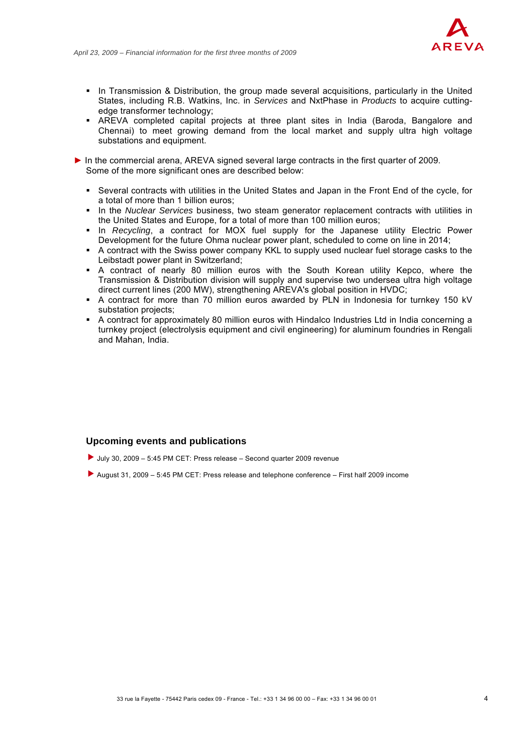

- In Transmission & Distribution, the group made several acquisitions, particularly in the United States, including R.B. Watkins, Inc. in *Services* and NxtPhase in *Products* to acquire cuttingedge transformer technology;
- AREVA completed capital projects at three plant sites in India (Baroda, Bangalore and Chennai) to meet growing demand from the local market and supply ultra high voltage substations and equipment.
- ► In the commercial arena, AREVA signed several large contracts in the first quarter of 2009. Some of the more significant ones are described below:
	- Several contracts with utilities in the United States and Japan in the Front End of the cycle, for a total of more than 1 billion euros;
	- In the *Nuclear Services* business, two steam generator replacement contracts with utilities in the United States and Europe, for a total of more than 100 million euros;
	- **In** *Recycling*, a contract for MOX fuel supply for the Japanese utility Electric Power Development for the future Ohma nuclear power plant, scheduled to come on line in 2014;
	- A contract with the Swiss power company KKL to supply used nuclear fuel storage casks to the Leibstadt power plant in Switzerland;
	- A contract of nearly 80 million euros with the South Korean utility Kepco, where the Transmission & Distribution division will supply and supervise two undersea ultra high voltage direct current lines (200 MW), strengthening AREVA's global position in HVDC;
	- A contract for more than 70 million euros awarded by PLN in Indonesia for turnkey 150 kV substation projects:
	- A contract for approximately 80 million euros with Hindalco Industries Ltd in India concerning a turnkey project (electrolysis equipment and civil engineering) for aluminum foundries in Rengali and Mahan, India.

# **Upcoming events and publications**

- $\blacktriangleright$  July 30, 2009 5:45 PM CET: Press release Second quarter 2009 revenue
- f August 31, 2009 5:45 PM CET: Press release and telephone conference First half 2009 income